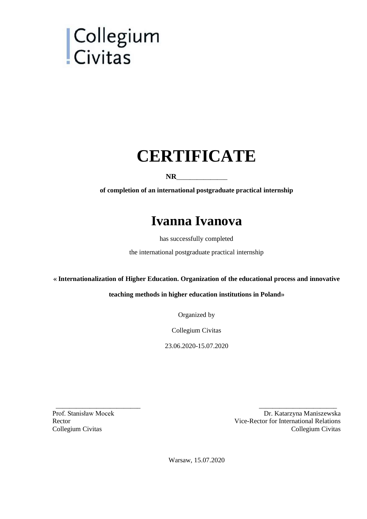# | Collegium<br>| Civitas

# **CERTIFICATE**

#### $NR$

**of completion of an international postgraduate practical internship**

## **Ivanna Ivanova**

has successfully completed

the international postgraduate practical internship

#### **« Internationalization of Higher Education. Organization of the educational process and innovative**

#### **teaching methods in higher education institutions in Poland»**

Organized by

Collegium Civitas

23.06.2020-15.07.2020

Prof. Stanisław Mocek Rector Collegium Civitas

Dr. Katarzyna Maniszewska Vice-Rector for International Relations Collegium Civitas

Warsaw, 15.07.2020

\_\_\_\_\_\_\_\_\_\_\_\_\_\_\_\_\_\_\_\_\_\_\_\_\_ \_\_\_\_\_\_\_\_\_\_\_\_\_\_\_\_\_\_\_\_\_\_\_